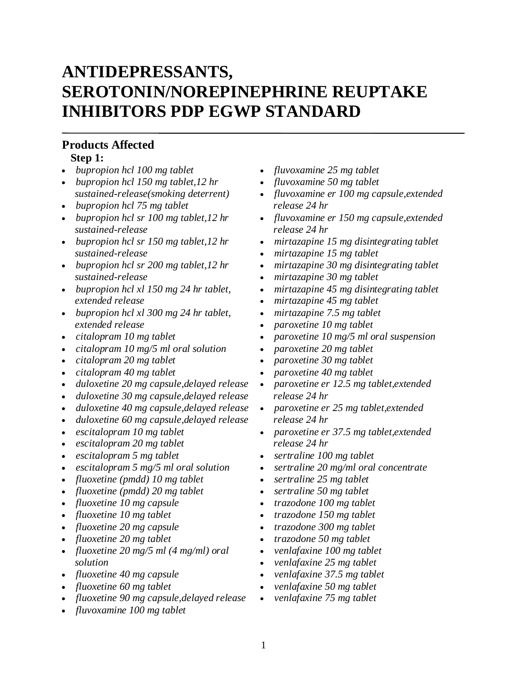# **ANTIDEPRESSANTS, SEROTONIN/NOREPINEPHRINE REUPTAKE INHIBITORS PDP EGWP STANDARD**

#### **Products Affected Step 1:**

- *bupropion hcl 100 mg tablet*
- *bupropion hcl 150 mg tablet,12 hr sustained-release(smoking deterrent)*
- *bupropion hcl 75 mg tablet*
- *bupropion hcl sr 100 mg tablet,12 hr sustained-release*
- *bupropion hcl sr 150 mg tablet,12 hr sustained-release*
- *bupropion hcl sr 200 mg tablet,12 hr sustained-release*
- *bupropion hcl xl 150 mg 24 hr tablet, extended release*
- *bupropion hcl xl 300 mg 24 hr tablet, extended release*
- *citalopram 10 mg tablet*
- *citalopram 10 mg/5 ml oral solution*
- *citalopram 20 mg tablet*
- *citalopram 40 mg tablet*
- *duloxetine 20 mg capsule,delayed release*
- *duloxetine 30 mg capsule,delayed release*
- *duloxetine 40 mg capsule,delayed release*
- *duloxetine 60 mg capsule,delayed release*
- *escitalopram 10 mg tablet*
- *escitalopram 20 mg tablet*
- *escitalopram 5 mg tablet*
- *escitalopram 5 mg/5 ml oral solution*
- *fluoxetine (pmdd) 10 mg tablet*
- *fluoxetine (pmdd) 20 mg tablet*
- *fluoxetine 10 mg capsule*
- *fluoxetine 10 mg tablet*
- *fluoxetine 20 mg capsule*
- *fluoxetine 20 mg tablet*
- *fluoxetine 20 mg/5 ml (4 mg/ml) oral solution*
- *fluoxetine 40 mg capsule*
- *fluoxetine 60 mg tablet*
- *fluoxetine 90 mg capsule,delayed release*
- *fluvoxamine 100 mg tablet*
- *fluvoxamine 25 mg tablet*
- *fluvoxamine 50 mg tablet*
- *fluvoxamine er 100 mg capsule,extended release 24 hr*
- *fluvoxamine er 150 mg capsule,extended release 24 hr*
- *mirtazapine 15 mg disintegrating tablet*
- *mirtazapine 15 mg tablet*
- *mirtazapine 30 mg disintegrating tablet*
- *mirtazapine 30 mg tablet*
- *mirtazapine 45 mg disintegrating tablet*
- *mirtazapine 45 mg tablet*
- *mirtazapine 7.5 mg tablet*
- *paroxetine 10 mg tablet*
- *paroxetine 10 mg/5 ml oral suspension*
- *paroxetine 20 mg tablet*
- *paroxetine 30 mg tablet*
- *paroxetine 40 mg tablet*
- *paroxetine er 12.5 mg tablet,extended release 24 hr*
- *paroxetine er 25 mg tablet,extended release 24 hr*
- *paroxetine er 37.5 mg tablet,extended release 24 hr*
- *sertraline 100 mg tablet*
- *sertraline 20 mg/ml oral concentrate*
- *sertraline 25 mg tablet*
- *sertraline 50 mg tablet*
- *trazodone 100 mg tablet*
- *trazodone 150 mg tablet*
- *trazodone 300 mg tablet*
- *trazodone 50 mg tablet*
- *venlafaxine 100 mg tablet*
- *venlafaxine 25 mg tablet*
- *venlafaxine 37.5 mg tablet*
- *venlafaxine 50 mg tablet*
- *venlafaxine 75 mg tablet*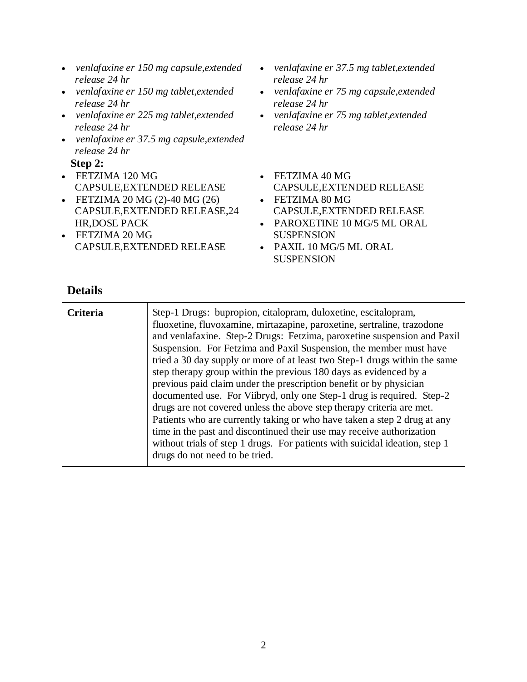- *venlafaxine er 150 mg capsule,extended release 24 hr*
- *venlafaxine er 150 mg tablet,extended release 24 hr*
- *venlafaxine er 225 mg tablet,extended release 24 hr*
- *venlafaxine er 37.5 mg capsule,extended release 24 hr*

**Step 2:**

- FETZIMA 120 MG CAPSULE,EXTENDED RELEASE
- FETZIMA 20 MG (2)-40 MG (26) CAPSULE,EXTENDED RELEASE,24 HR,DOSE PACK
- FETZIMA 20 MG CAPSULE,EXTENDED RELEASE
- *venlafaxine er 37.5 mg tablet,extended release 24 hr*
- *venlafaxine er 75 mg capsule,extended release 24 hr*
- *venlafaxine er 75 mg tablet,extended release 24 hr*
- FETZIMA 40 MG CAPSULE,EXTENDED RELEASE
- FETZIMA 80 MG CAPSULE,EXTENDED RELEASE
- PAROXETINE 10 MG/5 ML ORAL SUSPENSION
- PAXIL 10 MG/5 ML ORAL **SUSPENSION**

| <b>Criteria</b> | Step-1 Drugs: bupropion, citalopram, duloxetine, escitalopram,<br>fluoxetine, fluvoxamine, mirtazapine, paroxetine, sertraline, trazodone<br>and venlafaxine. Step-2 Drugs: Fetzima, paroxetine suspension and Paxil<br>Suspension. For Fetzima and Paxil Suspension, the member must have<br>tried a 30 day supply or more of at least two Step-1 drugs within the same<br>step therapy group within the previous 180 days as evidenced by a<br>previous paid claim under the prescription benefit or by physician<br>documented use. For Viibryd, only one Step-1 drug is required. Step-2<br>drugs are not covered unless the above step therapy criteria are met.<br>Patients who are currently taking or who have taken a step 2 drug at any<br>time in the past and discontinued their use may receive authorization |
|-----------------|----------------------------------------------------------------------------------------------------------------------------------------------------------------------------------------------------------------------------------------------------------------------------------------------------------------------------------------------------------------------------------------------------------------------------------------------------------------------------------------------------------------------------------------------------------------------------------------------------------------------------------------------------------------------------------------------------------------------------------------------------------------------------------------------------------------------------|
|                 | without trials of step 1 drugs. For patients with suicidal ideation, step 1<br>drugs do not need to be tried.                                                                                                                                                                                                                                                                                                                                                                                                                                                                                                                                                                                                                                                                                                              |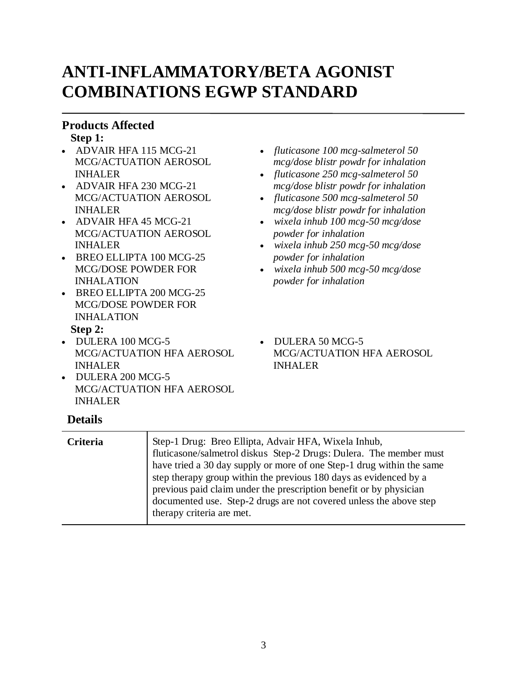# **ANTI-INFLAMMATORY/BETA AGONIST COMBINATIONS EGWP STANDARD**

### **Products Affected**

**Step 1:**

- ADVAIR HFA 115 MCG-21 MCG/ACTUATION AEROSOL INHALER
- ADVAIR HFA 230 MCG-21 MCG/ACTUATION AEROSOL INHALER
- ADVAIR HFA 45 MCG-21 MCG/ACTUATION AEROSOL INHALER
- BREO ELLIPTA 100 MCG-25 MCG/DOSE POWDER FOR INHALATION
- BREO ELLIPTA 200 MCG-25 MCG/DOSE POWDER FOR INHALATION

#### **Step 2:**

- DULERA 100 MCG-5 MCG/ACTUATION HFA AEROSOL INHALER
- DULERA 200 MCG-5 MCG/ACTUATION HFA AEROSOL INHALER

## **Details**

**Criteria** Step-1 Drug: Breo Ellipta, Advair HFA, Wixela Inhub, fluticasone/salmetrol diskus Step-2 Drugs: Dulera. The member must have tried a 30 day supply or more of one Step-1 drug within the same step therapy group within the previous 180 days as evidenced by a previous paid claim under the prescription benefit or by physician documented use. Step-2 drugs are not covered unless the above step therapy criteria are met.

- *fluticasone 100 mcg-salmeterol 50 mcg/dose blistr powdr for inhalation*
- *fluticasone 250 mcg-salmeterol 50 mcg/dose blistr powdr for inhalation*
- *fluticasone 500 mcg-salmeterol 50 mcg/dose blistr powdr for inhalation*
- *wixela inhub 100 mcg-50 mcg/dose powder for inhalation*
- *wixela inhub 250 mcg-50 mcg/dose powder for inhalation*
- *wixela inhub 500 mcg-50 mcg/dose powder for inhalation*
- DULERA 50 MCG-5 MCG/ACTUATION HFA AEROSOL INHALER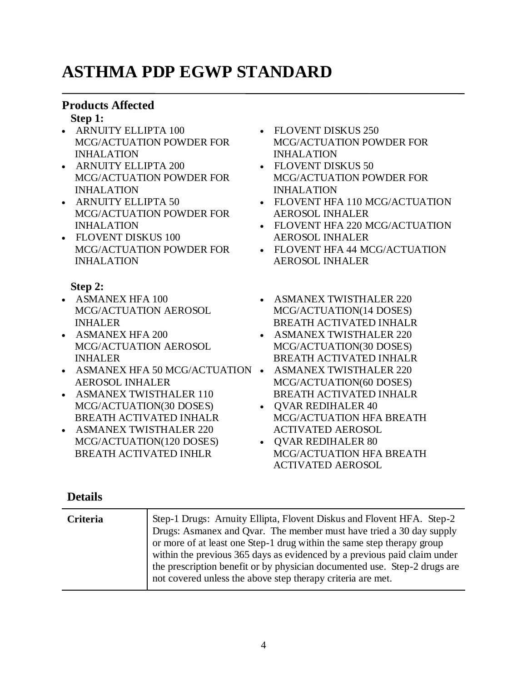# **ASTHMA PDP EGWP STANDARD**

# **Products Affected**

#### **Step 1:**

- ARNUITY ELLIPTA 100 MCG/ACTUATION POWDER FOR INHALATION
- ARNUITY ELLIPTA 200 MCG/ACTUATION POWDER FOR INHALATION
- ARNUITY ELLIPTA 50 MCG/ACTUATION POWDER FOR INHALATION
- FLOVENT DISKUS 100 MCG/ACTUATION POWDER FOR INHALATION

### **Step 2:**

- ASMANEX HFA 100 MCG/ACTUATION AEROSOL INHALER
- ASMANEX HFA 200 MCG/ACTUATION AEROSOL INHALER
- ASMANEX HFA 50 MCG/ACTUATION ASMANEX TWISTHALER 220 AEROSOL INHALER
- ASMANEX TWISTHALER 110 MCG/ACTUATION(30 DOSES) BREATH ACTIVATED INHALR
- ASMANEX TWISTHALER 220 MCG/ACTUATION(120 DOSES) BREATH ACTIVATED INHLR
- FLOVENT DISKUS 250 MCG/ACTUATION POWDER FOR INHALATION
- FLOVENT DISKUS 50 MCG/ACTUATION POWDER FOR INHALATION
- FLOVENT HFA 110 MCG/ACTUATION AEROSOL INHALER
- FLOVENT HFA 220 MCG/ACTUATION AEROSOL INHALER
- FLOVENT HFA 44 MCG/ACTUATION AEROSOL INHALER
- ASMANEX TWISTHALER 220 MCG/ACTUATION(14 DOSES) BREATH ACTIVATED INHALR
- ASMANEX TWISTHALER 220 MCG/ACTUATION(30 DOSES) BREATH ACTIVATED INHALR
- MCG/ACTUATION(60 DOSES) BREATH ACTIVATED INHALR
- QVAR REDIHALER 40 MCG/ACTUATION HFA BREATH ACTIVATED AEROSOL
- OVAR REDIHALER 80 MCG/ACTUATION HFA BREATH ACTIVATED AEROSOL

| <b>Criteria</b> | Step-1 Drugs: Arnuity Ellipta, Flovent Diskus and Flovent HFA. Step-2<br>Drugs: Asmanex and Qvar. The member must have tried a 30 day supply<br>or more of at least one Step-1 drug within the same step therapy group<br>within the previous 365 days as evidenced by a previous paid claim under<br>the prescription benefit or by physician documented use. Step-2 drugs are<br>not covered unless the above step therapy criteria are met. |
|-----------------|------------------------------------------------------------------------------------------------------------------------------------------------------------------------------------------------------------------------------------------------------------------------------------------------------------------------------------------------------------------------------------------------------------------------------------------------|
|                 |                                                                                                                                                                                                                                                                                                                                                                                                                                                |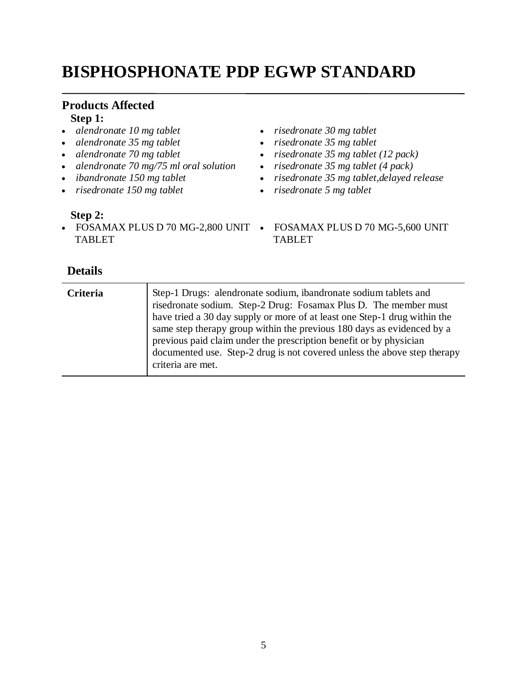# **BISPHOSPHONATE PDP EGWP STANDARD**

# **Products Affected**

# **Step 1:**

- *alendronate 10 mg tablet*
- *alendronate 35 mg tablet*
- *alendronate 70 mg tablet*
- *alendronate 70 mg/75 ml oral solution*
- *ibandronate 150 mg tablet*
- *risedronate 150 mg tablet*

#### **Step 2:**

• FOSAMAX PLUS D 70 MG-2,800 UNIT • FOSAMAX PLUS D 70 MG-5,600 UNIT TABLET

- *risedronate 30 mg tablet*
- *risedronate 35 mg tablet*
- *risedronate 35 mg tablet (12 pack)*
- *risedronate 35 mg tablet (4 pack)*
- *risedronate 35 mg tablet,delayed release*
- *risedronate 5 mg tablet*
	- TABLET

| <b>Criteria</b> | Step-1 Drugs: alendronate sodium, ibandronate sodium tablets and<br>risedronate sodium. Step-2 Drug: Fosamax Plus D. The member must<br>have tried a 30 day supply or more of at least one Step-1 drug within the<br>same step therapy group within the previous 180 days as evidenced by a<br>previous paid claim under the prescription benefit or by physician<br>documented use. Step-2 drug is not covered unless the above step therapy<br>criteria are met. |
|-----------------|--------------------------------------------------------------------------------------------------------------------------------------------------------------------------------------------------------------------------------------------------------------------------------------------------------------------------------------------------------------------------------------------------------------------------------------------------------------------|
|-----------------|--------------------------------------------------------------------------------------------------------------------------------------------------------------------------------------------------------------------------------------------------------------------------------------------------------------------------------------------------------------------------------------------------------------------------------------------------------------------|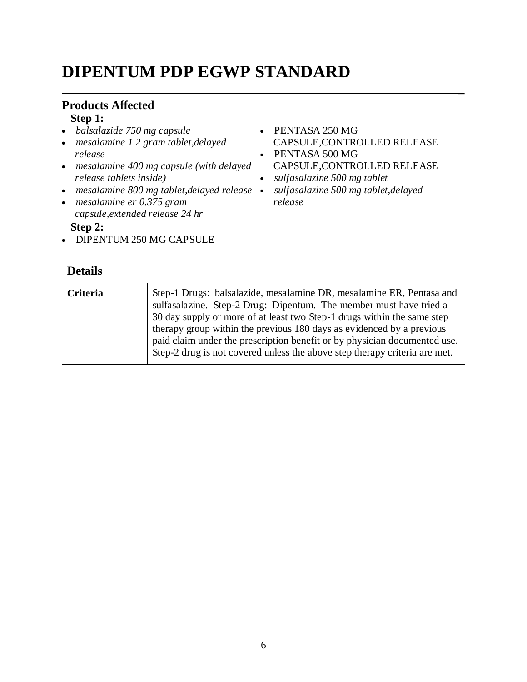# **DIPENTUM PDP EGWP STANDARD**

#### **Products Affected Step 1:**

- *balsalazide 750 mg capsule*
- *mesalamine 1.2 gram tablet,delayed release*
- *mesalamine 400 mg capsule (with delayed release tablets inside)*
- *mesalamine 800 mg tablet,delayed release*
- *mesalamine er 0.375 gram capsule,extended release 24 hr*

**Step 2:**

• DIPENTUM 250 MG CAPSULE

- PENTASA 250 MG CAPSULE,CONTROLLED RELEASE
- PENTASA 500 MG CAPSULE,CONTROLLED RELEASE
- *sulfasalazine 500 mg tablet*
- *sulfasalazine 500 mg tablet,delayed release*

| Criteria | Step-1 Drugs: balsalazide, mesalamine DR, mesalamine ER, Pentasa and<br>sulfasalazine. Step-2 Drug: Dipentum. The member must have tried a<br>30 day supply or more of at least two Step-1 drugs within the same step<br>therapy group within the previous 180 days as evidenced by a previous<br>paid claim under the prescription benefit or by physician documented use.<br>Step-2 drug is not covered unless the above step therapy criteria are met. |
|----------|-----------------------------------------------------------------------------------------------------------------------------------------------------------------------------------------------------------------------------------------------------------------------------------------------------------------------------------------------------------------------------------------------------------------------------------------------------------|
|          |                                                                                                                                                                                                                                                                                                                                                                                                                                                           |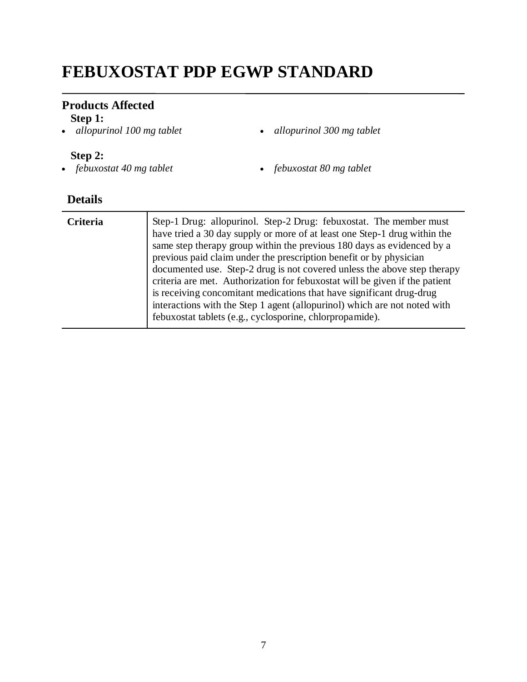# **FEBUXOSTAT PDP EGWP STANDARD**

# **Products Affected**

**Step 1:**<br>• *allopurinol 100 mg tablet* 

*allopurinol 100 mg tablet allopurinol 300 mg tablet*

#### **Step 2:**

*febuxostat 40 mg tablet febuxostat 80 mg tablet*

| <b>Criteria</b> | Step-1 Drug: allopurinol. Step-2 Drug: febuxostat. The member must<br>have tried a 30 day supply or more of at least one Step-1 drug within the<br>same step therapy group within the previous 180 days as evidenced by a<br>previous paid claim under the prescription benefit or by physician<br>documented use. Step-2 drug is not covered unless the above step therapy<br>criteria are met. Authorization for febuxostat will be given if the patient<br>is receiving concomitant medications that have significant drug-drug<br>interactions with the Step 1 agent (allopurinol) which are not noted with<br>febuxostat tablets (e.g., cyclosporine, chlorpropamide). |
|-----------------|-----------------------------------------------------------------------------------------------------------------------------------------------------------------------------------------------------------------------------------------------------------------------------------------------------------------------------------------------------------------------------------------------------------------------------------------------------------------------------------------------------------------------------------------------------------------------------------------------------------------------------------------------------------------------------|
|                 |                                                                                                                                                                                                                                                                                                                                                                                                                                                                                                                                                                                                                                                                             |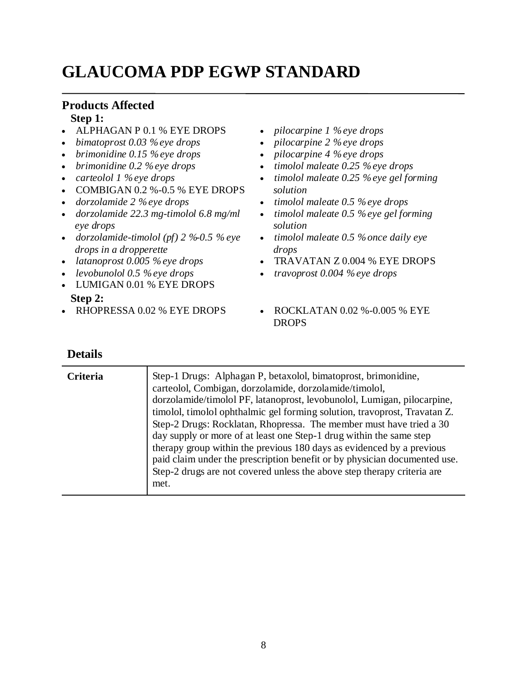# **GLAUCOMA PDP EGWP STANDARD**

# **Products Affected**

#### **Step 1:**

- ALPHAGAN P 0.1 % EYE DROPS
- *bimatoprost 0.03 % eye drops*
- *brimonidine 0.15 % eye drops*
- *brimonidine 0.2 % eye drops*
- *carteolol 1 % eye drops*
- $\bullet$  COMBIGAN 0.2 %-0.5 % EYE DROPS
- *dorzolamide 2 % eye drops*
- *dorzolamide 22.3 mg-timolol 6.8 mg/ml eye drops*
- *dorzolamide-timolol (pf) 2 %-0.5 % eye drops in a dropperette*
- *latanoprost 0.005 % eye drops*
- *levobunolol 0.5 % eye drops*
- LUMIGAN 0.01 % EYE DROPS **Step 2:**
- 
- *pilocarpine 1 % eye drops*
- *pilocarpine 2 % eye drops*
- *pilocarpine 4 % eye drops*
- *timolol maleate 0.25 % eye drops*
- *timolol maleate 0.25 % eye gel forming solution*
- *timolol maleate 0.5 % eye drops*
- *timolol maleate 0.5 % eye gel forming solution*
- *timolol maleate 0.5 % once daily eye drops*
- TRAVATAN Z 0.004 % EYE DROPS
- *travoprost 0.004 % eye drops*
- RHOPRESSA 0.02 % EYE DROPS ROCKLATAN 0.02 %-0.005 % EYE DROPS

| Criteria | Step-1 Drugs: Alphagan P, betaxolol, bimatoprost, brimonidine,<br>carteolol, Combigan, dorzolamide, dorzolamide/timolol,<br>dorzolamide/timolol PF, latanoprost, levobunolol, Lumigan, pilocarpine,<br>timolol, timolol ophthalmic gel forming solution, travoprost, Travatan Z.<br>Step-2 Drugs: Rocklatan, Rhopressa. The member must have tried a 30<br>day supply or more of at least one Step-1 drug within the same step<br>therapy group within the previous 180 days as evidenced by a previous |
|----------|---------------------------------------------------------------------------------------------------------------------------------------------------------------------------------------------------------------------------------------------------------------------------------------------------------------------------------------------------------------------------------------------------------------------------------------------------------------------------------------------------------|
|          | paid claim under the prescription benefit or by physician documented use.<br>Step-2 drugs are not covered unless the above step therapy criteria are<br>met.                                                                                                                                                                                                                                                                                                                                            |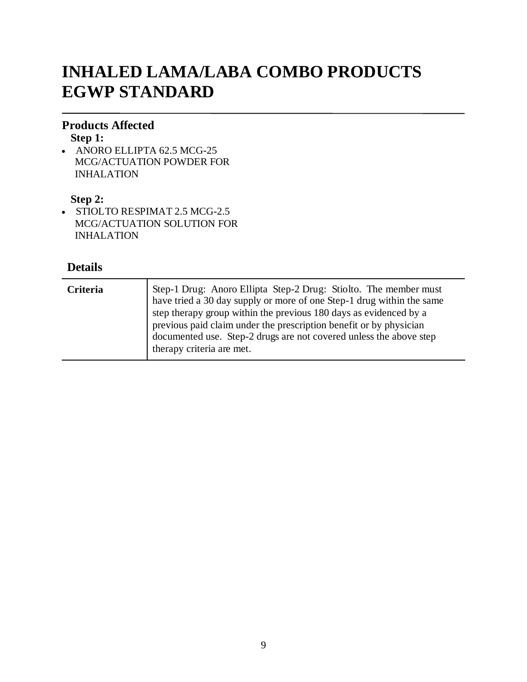# **INHALED LAMA/LABA COMBO PRODUCTS EGWP STANDARD**

### **Products Affected**

**Step 1:**

• ANORO ELLIPTA 62.5 MCG-25 MCG/ACTUATION POWDER FOR INHALATION

# **Step 2:**

• STIOLTO RESPIMAT 2.5 MCG-2.5 MCG/ACTUATION SOLUTION FOR INHALATION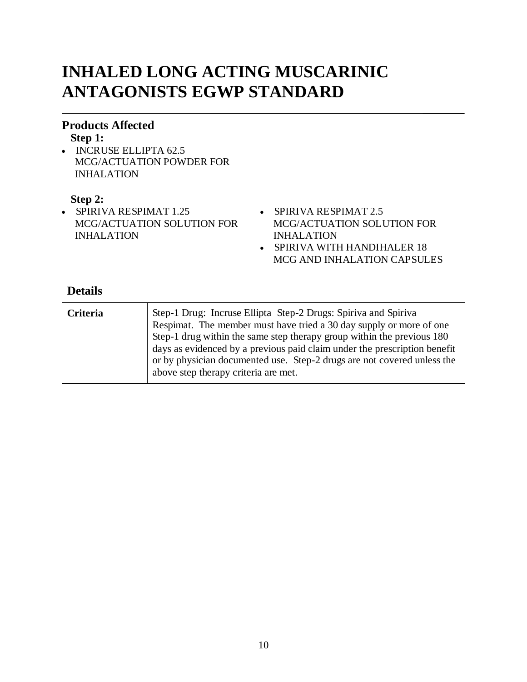# **INHALED LONG ACTING MUSCARINIC ANTAGONISTS EGWP STANDARD**

### **Products Affected**

#### **Step 1:**

• INCRUSE ELLIPTA 62.5 MCG/ACTUATION POWDER FOR INHALATION

### **Step 2:**

- SPIRIVA RESPIMAT 1.25 MCG/ACTUATION SOLUTION FOR INHALATION
- SPIRIVA RESPIMAT 2.5 MCG/ACTUATION SOLUTION FOR INHALATION
- SPIRIVA WITH HANDIHALER 18 MCG AND INHALATION CAPSULES

| <b>Criteria</b> | Step-1 Drug: Incruse Ellipta Step-2 Drugs: Spiriva and Spiriva<br>Respimat. The member must have tried a 30 day supply or more of one<br>Step-1 drug within the same step therapy group within the previous 180<br>days as evidenced by a previous paid claim under the prescription benefit<br>or by physician documented use. Step-2 drugs are not covered unless the<br>above step therapy criteria are met. |
|-----------------|-----------------------------------------------------------------------------------------------------------------------------------------------------------------------------------------------------------------------------------------------------------------------------------------------------------------------------------------------------------------------------------------------------------------|
|                 |                                                                                                                                                                                                                                                                                                                                                                                                                 |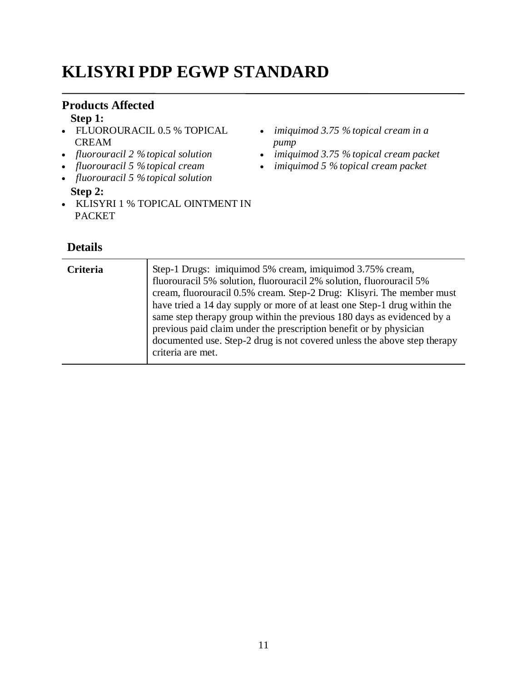# **KLISYRI PDP EGWP STANDARD**

# **Products Affected**

**Step 1:**

- FLUOROURACIL 0.5 % TOPICAL CREAM
- *fluorouracil 2 % topical solution*
- *fluorouracil 5 % topical cream*
- *fluorouracil 5 % topical solution* **Step 2:**
- KLISYRI 1 % TOPICAL OINTMENT IN PACKET
	- **Details**
- *imiquimod 3.75 % topical cream in a pump*
- *imiquimod 3.75 % topical cream packet*
- *imiquimod 5 % topical cream packet*

| Criteria | Step-1 Drugs: imiquimod 5% cream, imiquimod 3.75% cream,<br>fluorouracil 5% solution, fluorouracil 2% solution, fluorouracil 5%<br>cream, fluorouracil 0.5% cream. Step-2 Drug: Klisyri. The member must<br>have tried a 14 day supply or more of at least one Step-1 drug within the<br>same step therapy group within the previous 180 days as evidenced by a<br>previous paid claim under the prescription benefit or by physician<br>documented use. Step-2 drug is not covered unless the above step therapy<br>criteria are met. |
|----------|----------------------------------------------------------------------------------------------------------------------------------------------------------------------------------------------------------------------------------------------------------------------------------------------------------------------------------------------------------------------------------------------------------------------------------------------------------------------------------------------------------------------------------------|
|----------|----------------------------------------------------------------------------------------------------------------------------------------------------------------------------------------------------------------------------------------------------------------------------------------------------------------------------------------------------------------------------------------------------------------------------------------------------------------------------------------------------------------------------------------|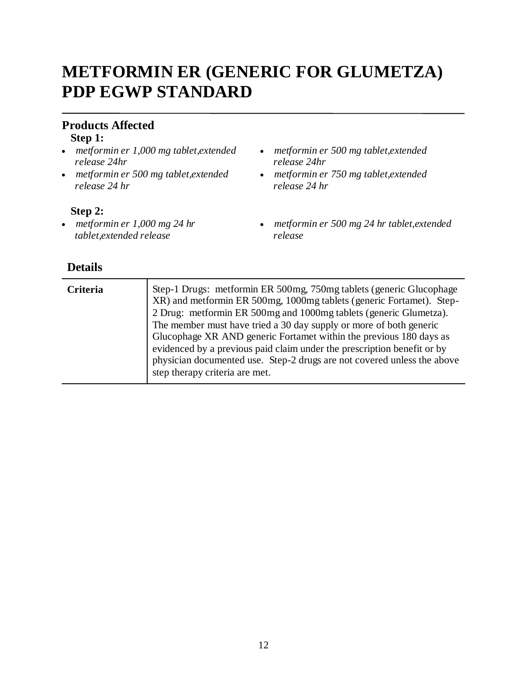# **METFORMIN ER (GENERIC FOR GLUMETZA) PDP EGWP STANDARD**

# **Products Affected**

#### **Step 1:**

- *metformin er 1,000 mg tablet,extended release 24hr*
- *metformin er 500 mg tablet,extended release 24 hr*

#### **Step 2:**

 *metformin er 1,000 mg 24 hr tablet,extended release*

- *metformin er 500 mg tablet,extended release 24hr*
- *metformin er 750 mg tablet,extended release 24 hr*
- *metformin er 500 mg 24 hr tablet,extended release*

| Criteria | Step-1 Drugs: metformin ER 500mg, 750mg tablets (generic Glucophage)<br>XR) and metformin ER 500mg, 1000mg tablets (generic Fortamet). Step-<br>2 Drug: metformin ER 500mg and 1000mg tablets (generic Glumetza).<br>The member must have tried a 30 day supply or more of both generic<br>Glucophage XR AND generic Fortamet within the previous 180 days as<br>evidenced by a previous paid claim under the prescription benefit or by<br>physician documented use. Step-2 drugs are not covered unless the above |
|----------|---------------------------------------------------------------------------------------------------------------------------------------------------------------------------------------------------------------------------------------------------------------------------------------------------------------------------------------------------------------------------------------------------------------------------------------------------------------------------------------------------------------------|
|          | step therapy criteria are met.                                                                                                                                                                                                                                                                                                                                                                                                                                                                                      |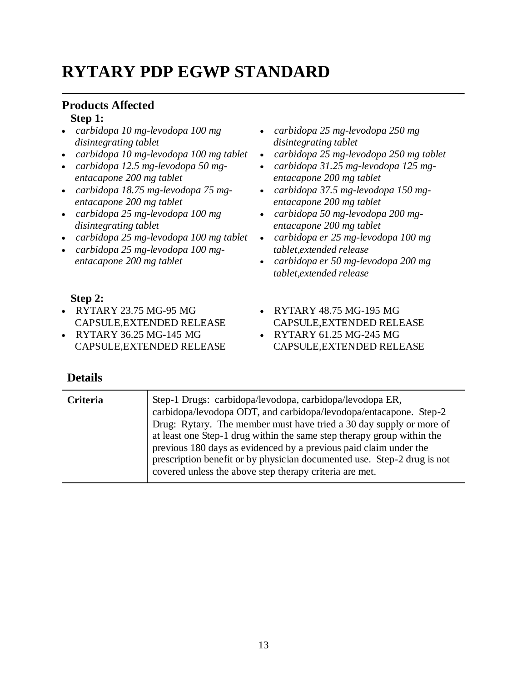# **RYTARY PDP EGWP STANDARD**

# **Products Affected**

# **Step 1:**

- *carbidopa 10 mg-levodopa 100 mg disintegrating tablet*
- *carbidopa 10 mg-levodopa 100 mg tablet*
- *carbidopa 12.5 mg-levodopa 50 mgentacapone 200 mg tablet*
- *carbidopa 18.75 mg-levodopa 75 mgentacapone 200 mg tablet*
- *carbidopa 25 mg-levodopa 100 mg disintegrating tablet*
- *carbidopa 25 mg-levodopa 100 mg tablet*
- *carbidopa 25 mg-levodopa 100 mgentacapone 200 mg tablet*
- *carbidopa 25 mg-levodopa 250 mg disintegrating tablet*
- *carbidopa 25 mg-levodopa 250 mg tablet*
- *carbidopa 31.25 mg-levodopa 125 mgentacapone 200 mg tablet*
- *carbidopa 37.5 mg-levodopa 150 mgentacapone 200 mg tablet*
- *carbidopa 50 mg-levodopa 200 mgentacapone 200 mg tablet*
- *carbidopa er 25 mg-levodopa 100 mg tablet,extended release*
- *carbidopa er 50 mg-levodopa 200 mg tablet,extended release*

CAPSULE,EXTENDED RELEASE

CAPSULE,EXTENDED RELEASE

RYTARY 48.75 MG-195 MG

RYTARY 61.25 MG-245 MG

### **Step 2:**

- RYTARY 23.75 MG-95 MG CAPSULE,EXTENDED RELEASE
- RYTARY 36.25 MG-145 MG CAPSULE,EXTENDED RELEASE

| <b>Details</b> |                                                                                                                                                                                                                                                                                                                                                                                                                                                                                           |
|----------------|-------------------------------------------------------------------------------------------------------------------------------------------------------------------------------------------------------------------------------------------------------------------------------------------------------------------------------------------------------------------------------------------------------------------------------------------------------------------------------------------|
| Criteria       | Step-1 Drugs: carbidopa/levodopa, carbidopa/levodopa ER,<br>carbidopa/levodopa ODT, and carbidopa/levodopa/entacapone. Step-2<br>Drug: Rytary. The member must have tried a 30 day supply or more of<br>at least one Step-1 drug within the same step therapy group within the<br>previous 180 days as evidenced by a previous paid claim under the<br>prescription benefit or by physician documented use. Step-2 drug is not<br>covered unless the above step therapy criteria are met. |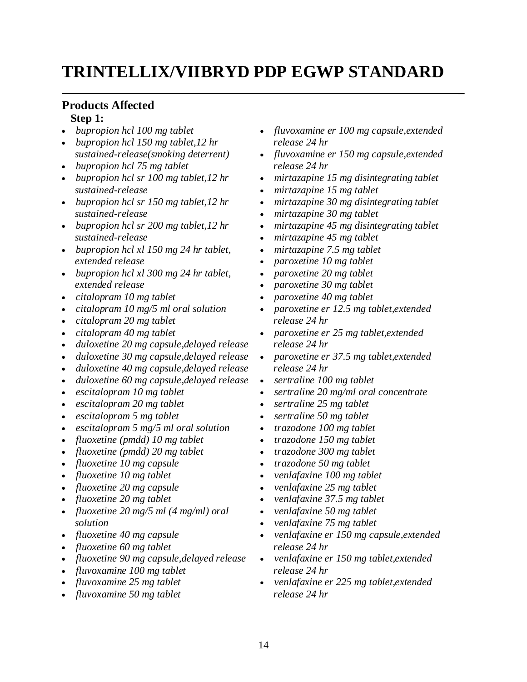# **TRINTELLIX/VIIBRYD PDP EGWP STANDARD**

#### **Products Affected Step 1:**

- *bupropion hcl 100 mg tablet*
- *bupropion hcl 150 mg tablet,12 hr sustained-release(smoking deterrent)*
- *bupropion hcl 75 mg tablet*
- *bupropion hcl sr 100 mg tablet,12 hr sustained-release*
- *bupropion hcl sr 150 mg tablet,12 hr sustained-release*
- *bupropion hcl sr 200 mg tablet,12 hr sustained-release*
- *bupropion hcl xl 150 mg 24 hr tablet, extended release*
- *bupropion hcl xl 300 mg 24 hr tablet, extended release*
- *citalopram 10 mg tablet*
- *citalopram 10 mg/5 ml oral solution*
- *citalopram 20 mg tablet*
- *citalopram 40 mg tablet*
- *duloxetine 20 mg capsule,delayed release*
- *duloxetine 30 mg capsule,delayed release*
- *duloxetine 40 mg capsule,delayed release*
- *duloxetine 60 mg capsule,delayed release*
- *escitalopram 10 mg tablet*
- *escitalopram 20 mg tablet*
- *escitalopram 5 mg tablet*
- *escitalopram 5 mg/5 ml oral solution*
- *fluoxetine (pmdd) 10 mg tablet*
- *fluoxetine (pmdd) 20 mg tablet*
- *fluoxetine 10 mg capsule*
- *fluoxetine 10 mg tablet*
- *fluoxetine 20 mg capsule*
- *fluoxetine 20 mg tablet*
- *fluoxetine 20 mg/5 ml (4 mg/ml) oral solution*
- *fluoxetine 40 mg capsule*
- *fluoxetine 60 mg tablet*
- *fluoxetine 90 mg capsule,delayed release*
- *fluvoxamine 100 mg tablet*
- *fluvoxamine 25 mg tablet*
- *fluvoxamine 50 mg tablet*
- *fluvoxamine er 100 mg capsule,extended release 24 hr*
- *fluvoxamine er 150 mg capsule,extended release 24 hr*
- *mirtazapine 15 mg disintegrating tablet*
- *mirtazapine 15 mg tablet*
- *mirtazapine 30 mg disintegrating tablet*
- *mirtazapine 30 mg tablet*
- *mirtazapine 45 mg disintegrating tablet*
- *mirtazapine 45 mg tablet*
- *mirtazapine 7.5 mg tablet*
- *paroxetine 10 mg tablet*
- *paroxetine 20 mg tablet*
- *paroxetine 30 mg tablet*
- *paroxetine 40 mg tablet*
- *paroxetine er 12.5 mg tablet,extended release 24 hr*
- *paroxetine er 25 mg tablet,extended release 24 hr*
- *paroxetine er 37.5 mg tablet,extended release 24 hr*
- *sertraline 100 mg tablet*
- *sertraline 20 mg/ml oral concentrate*
- *sertraline 25 mg tablet*
- *sertraline 50 mg tablet*
- *trazodone 100 mg tablet*
- *trazodone 150 mg tablet*
- *trazodone 300 mg tablet*
- *trazodone 50 mg tablet*
- *venlafaxine 100 mg tablet*
- *venlafaxine 25 mg tablet*
- *venlafaxine 37.5 mg tablet*
- *venlafaxine 50 mg tablet*
- *venlafaxine 75 mg tablet*
- *venlafaxine er 150 mg capsule,extended release 24 hr*
- *venlafaxine er 150 mg tablet,extended release 24 hr*
- *venlafaxine er 225 mg tablet,extended release 24 hr*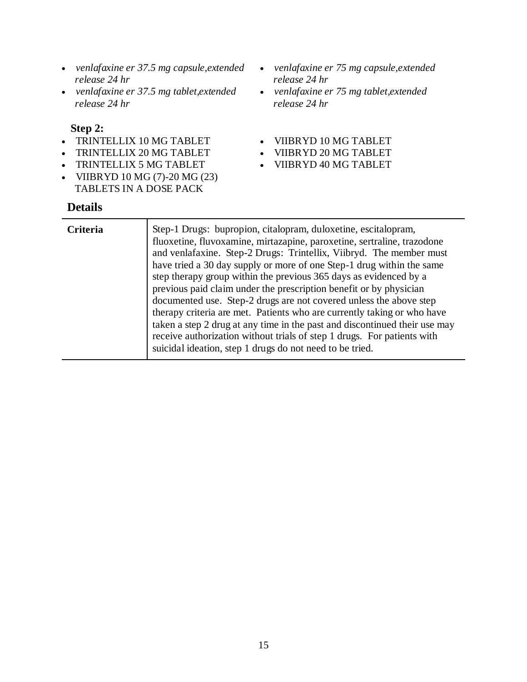- *venlafaxine er 37.5 mg capsule,extended release 24 hr*
- *venlafaxine er 37.5 mg tablet,extended release 24 hr*

#### **Step 2:**

- TRINTELLIX 10 MG TABLET
- TRINTELLIX 20 MG TABLET
- TRINTELLIX 5 MG TABLET
- VIIBRYD 10 MG (7)-20 MG (23) TABLETS IN A DOSE PACK

- *venlafaxine er 75 mg capsule,extended release 24 hr*
- *venlafaxine er 75 mg tablet,extended release 24 hr*
- VIIBRYD 10 MG TABLET
- VIIBRYD 20 MG TABLET
- VIIBRYD 40 MG TABLET

| <b>Criteria</b> | Step-1 Drugs: bupropion, citalopram, duloxetine, escitalopram,<br>fluoxetine, fluvoxamine, mirtazapine, paroxetine, sertraline, trazodone<br>and venlafaxine. Step-2 Drugs: Trintellix, Viibryd. The member must<br>have tried a 30 day supply or more of one Step-1 drug within the same<br>step therapy group within the previous 365 days as evidenced by a<br>previous paid claim under the prescription benefit or by physician<br>documented use. Step-2 drugs are not covered unless the above step<br>therapy criteria are met. Patients who are currently taking or who have<br>taken a step 2 drug at any time in the past and discontinued their use may<br>receive authorization without trials of step 1 drugs. For patients with |
|-----------------|------------------------------------------------------------------------------------------------------------------------------------------------------------------------------------------------------------------------------------------------------------------------------------------------------------------------------------------------------------------------------------------------------------------------------------------------------------------------------------------------------------------------------------------------------------------------------------------------------------------------------------------------------------------------------------------------------------------------------------------------|
|                 | suicidal ideation, step 1 drugs do not need to be tried.                                                                                                                                                                                                                                                                                                                                                                                                                                                                                                                                                                                                                                                                                       |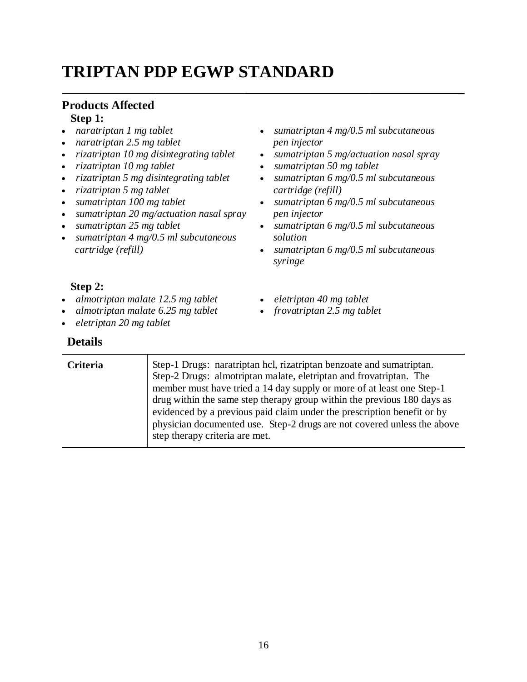# **TRIPTAN PDP EGWP STANDARD**

#### **Products Affected Step 1:**

- *naratriptan 1 mg tablet*
- *naratriptan 2.5 mg tablet*
- *rizatriptan 10 mg disintegrating tablet*
- *rizatriptan 10 mg tablet*
- *rizatriptan 5 mg disintegrating tablet*
- *rizatriptan 5 mg tablet*
- *sumatriptan 100 mg tablet*
- *sumatriptan 20 mg/actuation nasal spray*
- *sumatriptan 25 mg tablet*
- *sumatriptan 4 mg/0.5 ml subcutaneous cartridge (refill)*
- *sumatriptan 4 mg/0.5 ml subcutaneous pen injector*
- *sumatriptan 5 mg/actuation nasal spray*
- *sumatriptan 50 mg tablet*

 *eletriptan 40 mg tablet frovatriptan 2.5 mg tablet*

- *sumatriptan 6 mg/0.5 ml subcutaneous cartridge (refill)*
- *sumatriptan 6 mg/0.5 ml subcutaneous pen injector*
- *sumatriptan 6 mg/0.5 ml subcutaneous solution*
- *sumatriptan 6 mg/0.5 ml subcutaneous syringe*

### **Step 2:**

- *almotriptan malate 12.5 mg tablet*
- *almotriptan malate 6.25 mg tablet*
- *eletriptan 20 mg tablet*

## **Details**

**Criteria** Step-1 Drugs: naratriptan hcl, rizatriptan benzoate and sumatriptan. Step-2 Drugs: almotriptan malate, eletriptan and frovatriptan. The member must have tried a 14 day supply or more of at least one Step-1 drug within the same step therapy group within the previous 180 days as evidenced by a previous paid claim under the prescription benefit or by physician documented use. Step-2 drugs are not covered unless the above step therapy criteria are met.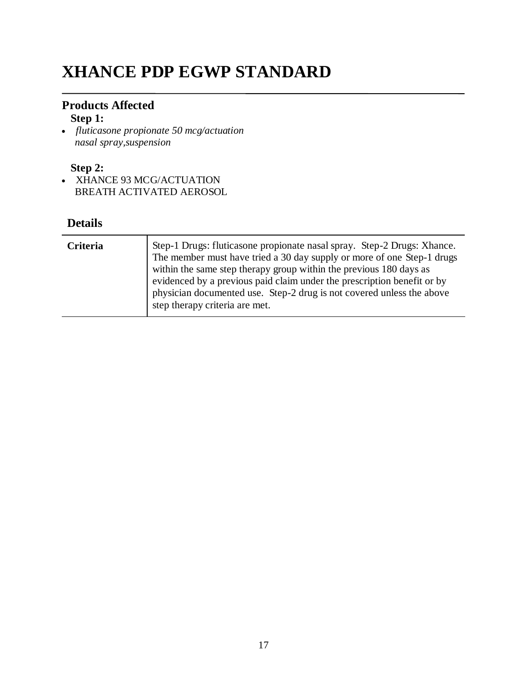# **XHANCE PDP EGWP STANDARD**

# **Products Affected**

## **Step 1:**

 *fluticasone propionate 50 mcg/actuation nasal spray,suspension*

# **Step 2:**

• XHANCE 93 MCG/ACTUATION BREATH ACTIVATED AEROSOL

| Criteria | Step-1 Drugs: fluticasone propionate nasal spray. Step-2 Drugs: Xhance.<br>The member must have tried a 30 day supply or more of one Step-1 drugs<br>within the same step therapy group within the previous 180 days as<br>evidenced by a previous paid claim under the prescription benefit or by<br>physician documented use. Step-2 drug is not covered unless the above<br>step therapy criteria are met. |
|----------|---------------------------------------------------------------------------------------------------------------------------------------------------------------------------------------------------------------------------------------------------------------------------------------------------------------------------------------------------------------------------------------------------------------|
|----------|---------------------------------------------------------------------------------------------------------------------------------------------------------------------------------------------------------------------------------------------------------------------------------------------------------------------------------------------------------------------------------------------------------------|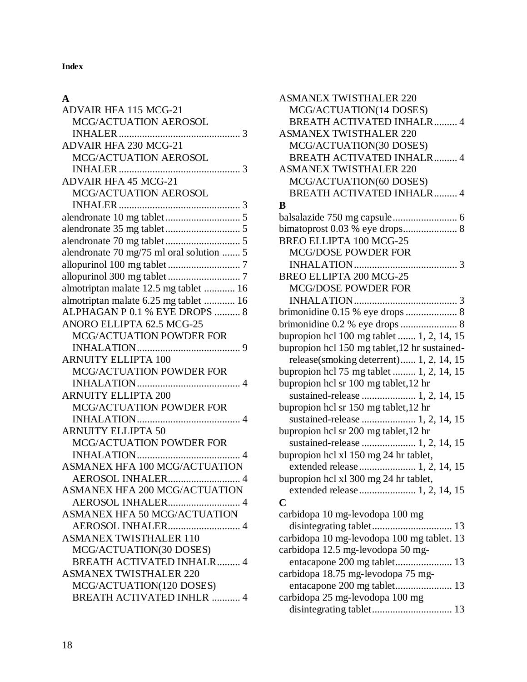**Index**

### **A**

| <b>ADVAIR HFA 115 MCG-21</b>             |
|------------------------------------------|
| MCG/ACTUATION AEROSOL                    |
|                                          |
| <b>ADVAIR HFA 230 MCG-21</b>             |
| MCG/ACTUATION AEROSOL                    |
|                                          |
| <b>ADVAIR HFA 45 MCG-21</b>              |
| MCG/ACTUATION AEROSOL                    |
|                                          |
|                                          |
|                                          |
|                                          |
| alendronate 70 mg/75 ml oral solution  5 |
|                                          |
|                                          |
| almotriptan malate 12.5 mg tablet  16    |
| almotriptan malate 6.25 mg tablet  16    |
| ALPHAGAN P 0.1 % EYE DROPS  8            |
| ANORO ELLIPTA 62.5 MCG-25                |
| MCG/ACTUATION POWDER FOR                 |
|                                          |
| <b>ARNUITY ELLIPTA 100</b>               |
| MCG/ACTUATION POWDER FOR                 |
|                                          |
| <b>ARNUITY ELLIPTA 200</b>               |
| MCG/ACTUATION POWDER FOR                 |
|                                          |
| <b>ARNUITY ELLIPTA 50</b>                |
| <b>MCG/ACTUATION POWDER FOR</b>          |
|                                          |
| ASMANEX HFA 100 MCG/ACTUATION            |
| AEROSOL INHALER 4                        |
| ASMANEX HFA 200 MCG/ACTUATION            |
| AEROSOL INHALER 4                        |
| <b>ASMANEX HFA 50 MCG/ACTUATION</b>      |
| AEROSOL INHALER 4                        |
| <b>ASMANEX TWISTHALER 110</b>            |
| MCG/ACTUATION(30 DOSES)                  |
| <b>BREATH ACTIVATED INHALR 4</b>         |
| <b>ASMANEX TWISTHALER 220</b>            |
| MCG/ACTUATION(120 DOSES)                 |
| <b>BREATH ACTIVATED INHLR  4</b>         |

| <b>ASMANEX TWISTHALER 220</b>                              |
|------------------------------------------------------------|
| MCG/ACTUATION(14 DOSES)                                    |
| <b>BREATH ACTIVATED INHALR 4</b>                           |
| <b>ASMANEX TWISTHALER 220</b>                              |
| MCG/ACTUATION(30 DOSES)                                    |
| <b>BREATH ACTIVATED INHALR 4</b>                           |
| <b>ASMANEX TWISTHALER 220</b>                              |
| MCG/ACTUATION(60 DOSES)                                    |
| <b>BREATH ACTIVATED INHALR 4</b>                           |
| B                                                          |
|                                                            |
| bimatoprost 0.03 % eye drops 8                             |
| <b>BREO ELLIPTA 100 MCG-25</b>                             |
| MCG/DOSE POWDER FOR                                        |
|                                                            |
| <b>BREO ELLIPTA 200 MCG-25</b>                             |
| <b>MCG/DOSE POWDER FOR</b>                                 |
|                                                            |
|                                                            |
|                                                            |
| bupropion hcl 100 mg tablet  1, 2, 14, 15                  |
| bupropion hcl 150 mg tablet, 12 hr sustained-              |
| release(smoking deterrent) 1, 2, 14, 15                    |
| bupropion hcl 75 mg tablet  1, 2, 14, 15                   |
| bupropion hcl sr 100 mg tablet, 12 hr                      |
|                                                            |
| bupropion hcl sr 150 mg tablet, 12 hr                      |
| sustained-release  1, 2, 14, 15                            |
| bupropion hcl sr 200 mg tablet, 12 hr                      |
| sustained-release  1, 2, 14, 15                            |
|                                                            |
| bupropion hcl xl 150 mg 24 hr tablet,                      |
|                                                            |
| bupropion hcl xl 300 mg 24 hr tablet,                      |
|                                                            |
| C                                                          |
| carbidopa 10 mg-levodopa 100 mg                            |
| 13                                                         |
| carbidopa 10 mg-levodopa 100 mg tablet. 13                 |
| carbidopa 12.5 mg-levodopa 50 mg-                          |
|                                                            |
| carbidopa 18.75 mg-levodopa 75 mg-                         |
| entacapone 200 mg tablet 13<br>$\sim$ $\sim$ $\sim$ $\sim$ |
|                                                            |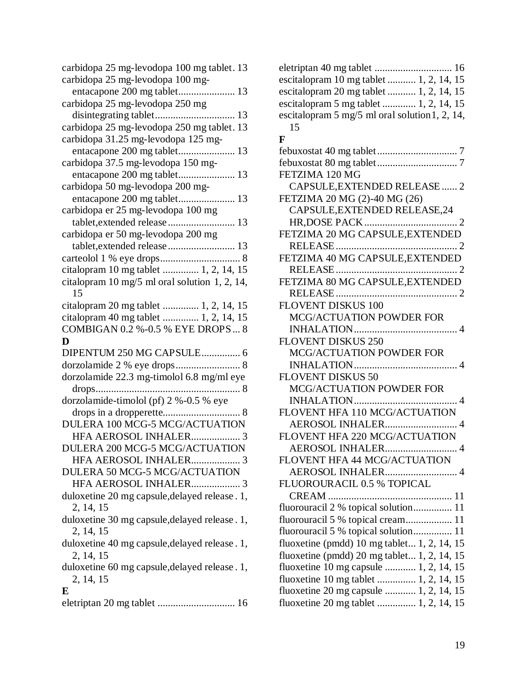| carbidopa 25 mg-levodopa 100 mg-                            |
|-------------------------------------------------------------|
| entacapone 200 mg tablet 13                                 |
| carbidopa 25 mg-levodopa 250 mg                             |
| disintegrating tablet 13                                    |
| carbidopa 25 mg-levodopa 250 mg tablet. 13                  |
| carbidopa 31.25 mg-levodopa 125 mg-                         |
|                                                             |
| carbidopa 37.5 mg-levodopa 150 mg-                          |
| entacapone 200 mg tablet 13                                 |
| carbidopa 50 mg-levodopa 200 mg-                            |
|                                                             |
| carbidopa er 25 mg-levodopa 100 mg                          |
| tablet, extended release  13                                |
| carbidopa er 50 mg-levodopa 200 mg                          |
| tablet, extended release  13                                |
|                                                             |
| citalopram 10 mg tablet  1, 2, 14, 15                       |
| citalopram 10 mg/5 ml oral solution 1, 2, 14,               |
| 15                                                          |
| citalopram 20 mg tablet  1, 2, 14, 15                       |
| citalopram 40 mg tablet  1, 2, 14, 15                       |
| COMBIGAN 0.2 %-0.5 % EYE DROPS 8                            |
| D                                                           |
|                                                             |
| DIPENTUM 250 MG CAPSULE 6                                   |
|                                                             |
|                                                             |
| dorzolamide 22.3 mg-timolol 6.8 mg/ml eye<br>8              |
|                                                             |
| dorzolamide-timolol (pf) 2 %-0.5 % eye                      |
| DULERA 100 MCG-5 MCG/ACTUATION                              |
|                                                             |
| HFA AEROSOL INHALER 3<br>DULERA 200 MCG-5 MCG/ACTUATION     |
|                                                             |
| HFA AEROSOL INHALER 3                                       |
| DULERA 50 MCG-5 MCG/ACTUATION<br>HFA AEROSOL INHALER 3      |
|                                                             |
| duloxetine 20 mg capsule, delayed release . 1,<br>2, 14, 15 |
| duloxetine 30 mg capsule, delayed release. 1,               |
| 2, 14, 15                                                   |
| duloxetine 40 mg capsule, delayed release. 1,               |
| 2, 14, 15                                                   |
| duloxetine 60 mg capsule, delayed release. 1,               |
| 2, 14, 15                                                   |
| E                                                           |
|                                                             |

| eletriptan 40 mg tablet  16                    |
|------------------------------------------------|
| escitalopram 10 mg tablet  1, 2, 14, 15        |
| escitalopram 20 mg tablet  1, 2, 14, 15        |
| escitalopram 5 mg tablet  1, 2, 14, 15         |
| escitalopram 5 mg/5 ml oral solution 1, 2, 14, |
| 15                                             |
| F                                              |
|                                                |
|                                                |
| FETZIMA 120 MG                                 |
| CAPSULE, EXTENDED RELEASE  2                   |
| FETZIMA 20 MG (2)-40 MG (26)                   |
| CAPSULE, EXTENDED RELEASE, 24                  |
|                                                |
| FETZIMA 20 MG CAPSULE, EXTENDED                |
|                                                |
| FETZIMA 40 MG CAPSULE, EXTENDED                |
|                                                |
| FETZIMA 80 MG CAPSULE, EXTENDED                |
|                                                |
| <b>FLOVENT DISKUS 100</b>                      |
| MCG/ACTUATION POWDER FOR                       |
|                                                |
| <b>FLOVENT DISKUS 250</b>                      |
| MCG/ACTUATION POWDER FOR                       |
|                                                |
| <b>FLOVENT DISKUS 50</b>                       |
| MCG/ACTUATION POWDER FOR                       |
|                                                |
| FLOVENT HFA 110 MCG/ACTUATION                  |
| AEROSOL INHALER 4                              |
| FLOVENT HFA 220 MCG/ACTUATION                  |
| AEROSOL INHALER.                               |
| FLOVENT HFA 44 MCG/ACTUATION                   |
|                                                |
| FLUOROURACIL 0.5 % TOPICAL                     |
|                                                |
| fluorouracil 2 % topical solution 11           |
| fluorouracil 5 % topical cream 11              |
| fluorouracil 5 % topical solution 11           |
| fluoxetine (pmdd) 10 mg tablet 1, 2, 14, 15    |
| fluoxetine (pmdd) $20$ mg tablet 1, 2, 14, 15  |
| fluoxetine 10 mg capsule  1, 2, 14, 15         |
| fluoxetine 10 mg tablet  1, 2, 14, 15          |
| fluoxetine 20 mg capsule  1, 2, 14, 15         |
| fluoxetine 20 mg tablet  1, 2, 14, 15          |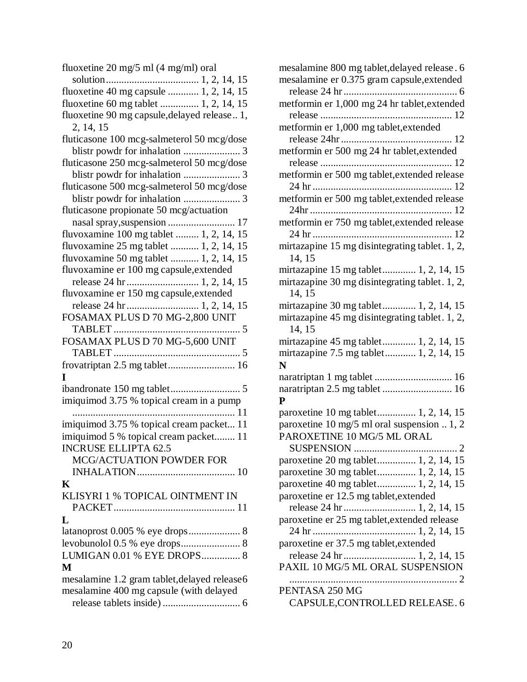| fluoxetine 20 mg/5 ml (4 mg/ml) oral          |
|-----------------------------------------------|
|                                               |
| fluoxetine 40 mg capsule  1, 2, 14, 15        |
| fluoxetine 60 mg tablet  1, 2, 14, 15         |
| fluoxetine 90 mg capsule, delayed release 1,  |
| 2, 14, 15                                     |
| fluticasone 100 mcg-salmeterol 50 mcg/dose    |
|                                               |
| fluticasone 250 mcg-salmeterol 50 mcg/dose    |
|                                               |
| fluticasone 500 mcg-salmeterol 50 mcg/dose    |
|                                               |
| fluticasone propionate 50 mcg/actuation       |
|                                               |
| fluvoxamine 100 mg tablet  1, 2, 14, 15       |
| fluvoxamine 25 mg tablet  1, 2, 14, 15        |
| fluvoxamine 50 mg tablet  1, 2, 14, 15        |
| fluvoxamine er 100 mg capsule, extended       |
| release 24 hr 1, 2, 14, 15                    |
| fluvoxamine er 150 mg capsule, extended       |
|                                               |
| FOSAMAX PLUS D 70 MG-2,800 UNIT               |
|                                               |
| FOSAMAX PLUS D 70 MG-5,600 UNIT               |
|                                               |
| frovatriptan 2.5 mg tablet 16                 |
| ш                                             |
|                                               |
| imiquimod 3.75 % topical cream in a pump      |
|                                               |
| imiquimod 3.75 % topical cream packet 11      |
| imiquimod 5 % topical cream packet 11         |
| <b>INCRUSE ELLIPTA 62.5</b>                   |
| <b>MCG/ACTUATION POWDER FOR</b>               |
|                                               |
| K                                             |
| KLISYRI 1 % TOPICAL OINTMENT IN               |
|                                               |
| L                                             |
| latanoprost 0.005 % eye drops 8               |
|                                               |
| LUMIGAN 0.01 % EYE DROPS 8                    |
| M                                             |
| mesalamine 1.2 gram tablet, delayed release 6 |
| mesalamine 400 mg capsule (with delayed       |
|                                               |

| mesalamine 800 mg tablet, delayed release. 6   |
|------------------------------------------------|
| mesalamine er 0.375 gram capsule, extended     |
|                                                |
| metformin er 1,000 mg 24 hr tablet, extended   |
|                                                |
| metformin er 1,000 mg tablet, extended         |
|                                                |
| metformin er 500 mg 24 hr tablet, extended     |
|                                                |
| metformin er 500 mg tablet, extended release   |
|                                                |
| metformin er 500 mg tablet, extended release   |
|                                                |
| metformin er 750 mg tablet, extended release   |
|                                                |
| mirtazapine 15 mg disintegrating tablet. 1, 2, |
| 14, 15                                         |
| mirtazapine 15 mg tablet 1, 2, 14, 15          |
| mirtazapine 30 mg disintegrating tablet. 1, 2, |
| 14, 15                                         |
| mirtazapine 30 mg tablet 1, 2, 14, 15          |
| mirtazapine 45 mg disintegrating tablet. 1, 2, |
| 14, 15                                         |
| mirtazapine 45 mg tablet 1, 2, 14, 15          |
| mirtazapine 7.5 mg tablet 1, 2, 14, 15         |
| N                                              |
| naratriptan 1 mg tablet  16                    |
|                                                |
| ${\bf P}$                                      |
| paroxetine 10 mg tablet 1, 2, 14, 15           |
| paroxetine 10 mg/5 ml oral suspension  1, 2    |
| PAROXETINE 10 MG/5 ML ORAL                     |
| $\overline{2}$<br>SUSPENSION                   |
| paroxetine 20 mg tablet 1, 2, 14, 15           |
| paroxetine 30 mg tablet 1, 2, 14, 15           |
| paroxetine 40 mg tablet 1, 2, 14, 15           |
| paroxetine er 12.5 mg tablet, extended         |
| release 24 hr 1, 2, 14, 15                     |
| paroxetine er 25 mg tablet, extended release   |
|                                                |
| paroxetine er 37.5 mg tablet, extended         |
|                                                |
| PAXIL 10 MG/5 ML ORAL SUSPENSION               |
|                                                |
| PENTASA 250 MG                                 |
| CAPSULE, CONTROLLED RELEASE. 6                 |
|                                                |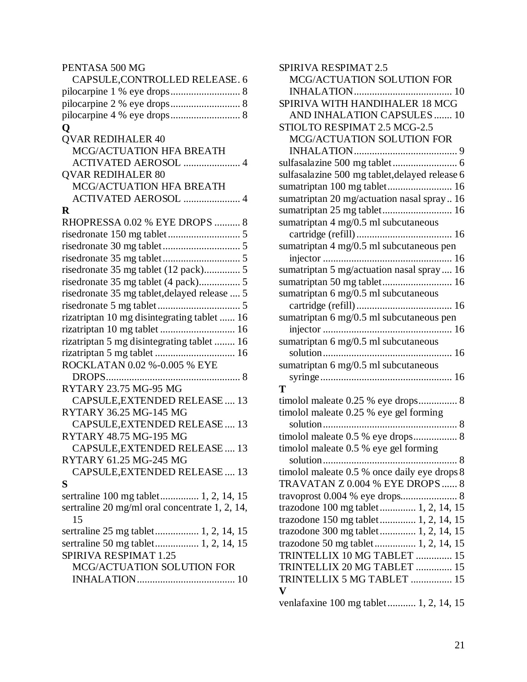| SPIRIVA RESPIMAT 2.5                           |
|------------------------------------------------|
| MCG/ACTUATION SOLUTION FOR                     |
|                                                |
| SPIRIVA WITH HANDIHALER 18 MCG                 |
| AND INHALATION CAPSULES  10                    |
| STIOLTO RESPIMAT 2.5 MCG-2.5                   |
| MCG/ACTUATION SOLUTION FOR                     |
|                                                |
|                                                |
| sulfasalazine 500 mg tablet, delayed release 6 |
|                                                |
| sumatriptan 20 mg/actuation nasal spray 16     |
| sumatriptan 25 mg tablet 16                    |
| sumatriptan 4 mg/0.5 ml subcutaneous           |
|                                                |
| sumatriptan 4 mg/0.5 ml subcutaneous pen       |
|                                                |
| sumatriptan 5 mg/actuation nasal spray 16      |
|                                                |
| sumatriptan 6 mg/0.5 ml subcutaneous           |
|                                                |
| sumatriptan 6 mg/0.5 ml subcutaneous pen       |
|                                                |
| sumatriptan 6 mg/0.5 ml subcutaneous           |
|                                                |
| sumatriptan 6 mg/0.5 ml subcutaneous           |
|                                                |
| т                                              |
| timolol maleate 0.25 % eye drops 8             |
| timolol maleate 0.25 % eye gel forming         |
|                                                |
| timolol maleate 0.5 % eye drops 8              |
| timolol maleate 0.5 % eye gel forming          |
|                                                |
| timolol maleate 0.5 % once daily eye drops 8   |
| TRAVATAN Z 0.004 % EYE DROPS  8                |
|                                                |
| trazodone 100 mg tablet 1, 2, 14, 15           |
| trazodone 150 mg tablet 1, 2, 14, 15           |
| trazodone 300 mg tablet 1, 2, 14, 15           |
| trazodone 50 mg tablet 1, 2, 14, 15            |
| TRINTELLIX 10 MG TABLET  15                    |
| TRINTELLIX 20 MG TABLET  15                    |
| TRINTELLIX 5 MG TABLET  15                     |
| $\boldsymbol{\mathrm{V}}$                      |
| venlafaxine 100 mg tablet 1, 2, 14, 15         |
|                                                |